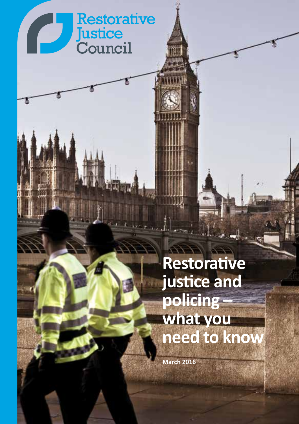# **Restorative** P **Justice**<br>Council

# **Restorative justice and policing – what you need to know**

**March 2016**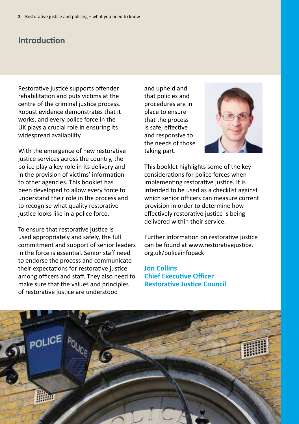# **Introduction**

Restorative justice supports offender rehabilitation and puts victims at the centre of the criminal justice process. Robust evidence demonstrates that it works, and every police force in the UK plays a crucial role in ensuring its widespread availability.

With the emergence of new restorative justice services across the country, the police play a key role in its delivery and in the provision of victims' information to other agencies. This booklet has been developed to allow every force to understand their role in the process and to recognise what quality restorative justice looks like in a police force.

To ensure that restorative justice is used appropriately and safely, the full commitment and support of senior leaders in the force is essential. Senior staff need to endorse the process and communicate their expectations for restorative justice among officers and staff. They also need to make sure that the values and principles of restorative justice are understood

and upheld and that policies and procedures are in place to ensure that the process is safe, effective and responsive to the needs of those taking part.



This booklet highlights some of the key considerations for police forces when implementing restorative justice. It is intended to be used as a checklist against which senior officers can measure current provision in order to determine how effectively restorative justice is being delivered within their service.

Further information on restorative justice [can be found at www.restorativejustice](http://www.restorativejustice.org.uk/policeinfopack). org.uk/policeinfopack

#### **Jon Collins Chief Executive Officer Restorative Justice Council**

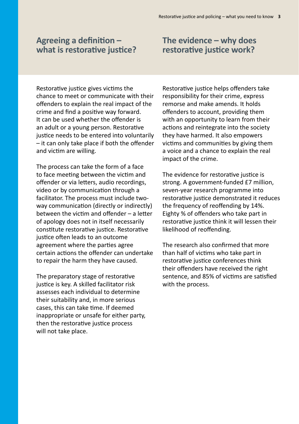#### **Agreeing a definition – what is restorative justice?**

#### Restorative justice gives victims the chance to meet or communicate with their offenders to explain the real impact of the crime and find a positive way forward. It can be used whether the offender is an adult or a young person. Restorative justice needs to be entered into voluntarily – it can only take place if both the offender and victim are willing.

The process can take the form of a face to face meeting between the victim and offender or via letters, audio recordings, video or by communication through a facilitator. The process must include twoway communication (directly or indirectly) between the victim and offender – a letter of apology does not in itself necessarily constitute restorative justice. Restorative justice often leads to an outcome agreement where the parties agree certain actions the offender can undertake to repair the harm they have caused.

The preparatory stage of restorative justice is key. A skilled facilitator risk assesses each individual to determine their suitability and, in more serious cases, this can take time. If deemed inappropriate or unsafe for either party, then the restorative justice process will not take place.

#### Restorative justice helps offenders take responsibility for their crime, express remorse and make amends. It holds offenders to account, providing them with an opportunity to learn from their actions and reintegrate into the society they have harmed. It also empowers victims and communities by giving them a voice and a chance to explain the real impact of the crime.

The evidence for restorative justice is strong. A government-funded £7 million, seven-year research programme into restorative justice demonstrated it reduces the frequency of reoffending by 14%. Eighty % of offenders who take part in restorative justice think it will lessen their likelihood of reoffending.

The research also confirmed that more than half of victims who take part in restorative justice conferences think their offenders have received the right sentence, and 85% of victims are satisfied with the process.

# **The evidence – why does restorative justice work?**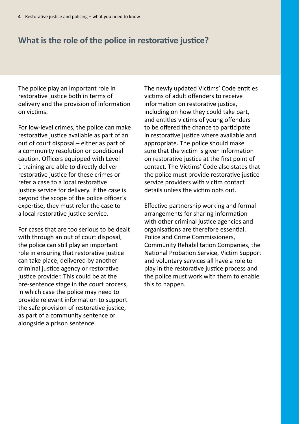# **What is the role of the police in restorative justice?**

The police play an important role in restorative justice both in terms of delivery and the provision of information on victims.

For low-level crimes, the police can make restorative justice available as part of an out of court disposal – either as part of a community resolution or conditional caution. Officers equipped with Level 1 training are able to directly deliver restorative justice for these crimes or refer a case to a local restorative justice service for delivery. If the case is beyond the scope of the police officer's expertise, they must refer the case to a local restorative justice service.

For cases that are too serious to be dealt with through an out of court disposal, the police can still play an important role in ensuring that restorative justice can take place, delivered by another criminal justice agency or restorative justice provider. This could be at the pre-sentence stage in the court process, in which case the police may need to provide relevant information to support the safe provision of restorative justice, as part of a community sentence or alongside a prison sentence.

The newly updated Victims' Code entitles victims of adult offenders to receive information on restorative justice. including on how they could take part, and entitles victims of young offenders to be offered the chance to participate in restorative justice where available and appropriate. The police should make sure that the victim is given information on restorative justice at the first point of contact. The Victims' Code also states that the police must provide restorative justice service providers with victim contact details unless the victim opts out.

Effective partnership working and formal arrangements for sharing information with other criminal justice agencies and organisations are therefore essential. Police and Crime Commissioners, Community Rehabilitation Companies, the National Probation Service, Victim Support and voluntary services all have a role to play in the restorative justice process and the police must work with them to enable this to happen.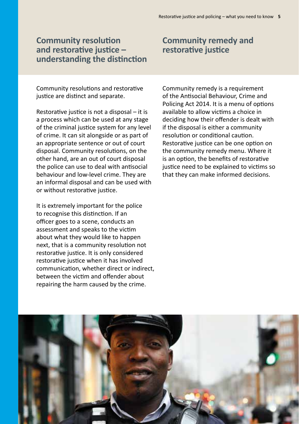#### **Community resolution and restorative justice – understanding the distinction**

Community resolutions and restorative justice are distinct and separate.

Restorative justice is not a disposal – it is a process which can be used at any stage of the criminal justice system for any level of crime. It can sit alongside or as part of an appropriate sentence or out of court disposal. Community resolutions, on the other hand, are an out of court disposal the police can use to deal with antisocial behaviour and low-level crime. They are an informal disposal and can be used with or without restorative justice.

It is extremely important for the police to recognise this distinction. If an officer goes to a scene, conducts an assessment and speaks to the victim about what they would like to happen next, that is a community resolution not restorative justice. It is only considered restorative justice when it has involved communication, whether direct or indirect, between the victim and offender about repairing the harm caused by the crime.

Community remedy is a requirement of the Antisocial Behaviour, Crime and Policing Act 2014. It is a menu of options available to allow victims a choice in deciding how their offender is dealt with if the disposal is either a community resolution or conditional caution. Restorative justice can be one option on the community remedy menu. Where it is an option, the benefits of restorative justice need to be explained to victims so that they can make informed decisions.



#### **Community remedy and restorative justice**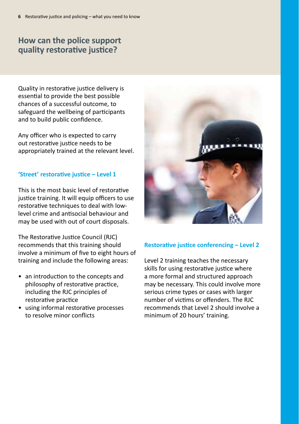# **How can the police support quality restorative justice?**

Quality in restorative justice delivery is essential to provide the best possible chances of a successful outcome, to safeguard the wellbeing of participants and to build public confidence.

Any officer who is expected to carry out restorative justice needs to be appropriately trained at the relevant level.

#### **'Street' restorative justice – Level 1**

This is the most basic level of restorative justice training. It will equip officers to use restorative techniques to deal with lowlevel crime and antisocial behaviour and may be used with out of court disposals.

The Restorative Justice Council (RJC) recommends that this training should involve a minimum of five to eight hours of training and include the following areas:

- an introduction to the concepts and philosophy of restorative practice, including the RJC principles of restorative practice
- using informal restorative processes to resolve minor conflicts



#### **Restorative justice conferencing – Level 2**

Level 2 training teaches the necessary skills for using restorative justice where a more formal and structured approach may be necessary. This could involve more serious crime types or cases with larger number of victims or offenders. The RJC recommends that Level 2 should involve a minimum of 20 hours' training.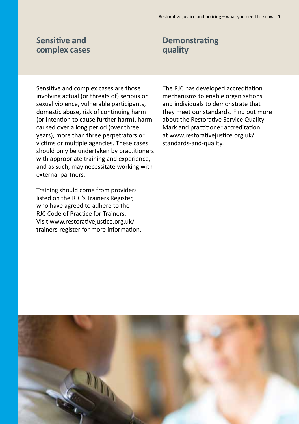#### **Sensitive and complex cases**

Sensitive and complex cases are those involving actual (or threats of) serious or sexual violence, vulnerable participants, domestic abuse, risk of continuing harm (or intention to cause further harm), harm caused over a long period (over three years), more than three perpetrators or victims or multiple agencies. These cases should only be undertaken by practitioners with appropriate training and experience, and as such, may necessitate working with external partners.

Training should come from providers listed on the RJC's Trainers Register, who have agreed to adhere to the RJC Code of Practice for Trainers. Visit www.restorativejustice.org.uk/ [trainers-register for more information.](http://www.restorativejustice.org.uk/trainers-register)

# **Demonstrating quality**

The RJC has developed accreditation mechanisms to enable organisations and individuals to demonstrate that they meet our standards. Find out more about the Restorative Service Quality Mark and practitioner accreditation [at www.restorativejustice.org.uk/](http://www.restorativejustice.org.uk/standards-and-quality) standards-and-quality.